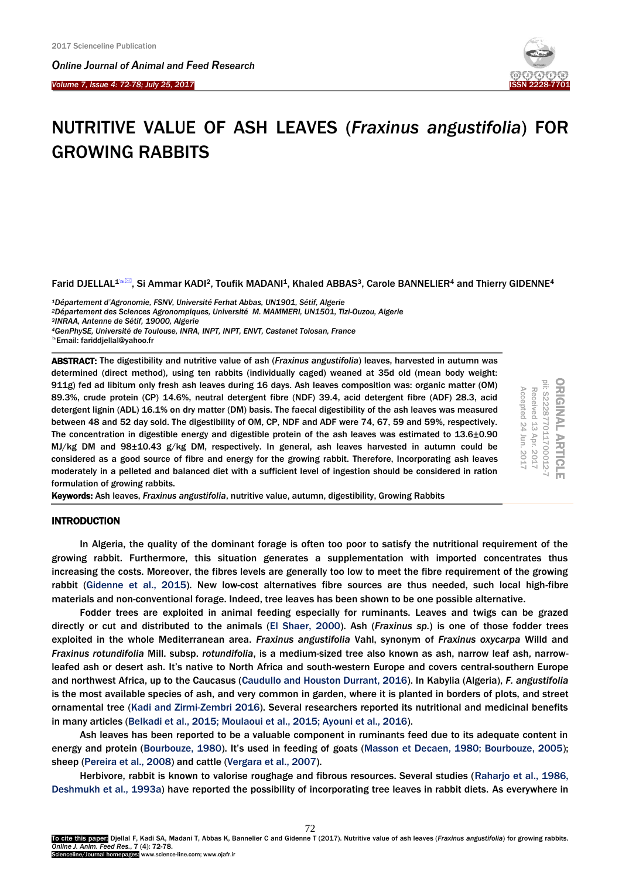I

*Online Journal of A[nimal and](http://www.ojafr.ir/main/) Feed Research Volume 7, Issue 4: 72-78; July 25, 2017* 



# NUTRITIVE VALUE OF ASH LEAVES (*Fraxinus angustifolia*) FOR GROWING RABBITS

Farid DJELLAL<sup>[1](mailto:birhan1975@gmail.com)</sup><sup>\M</sup>, Si Ammar [KADI](#page-6-0)<sup>2</sup>, Toufik MADANI<sup>1</sup>, Khaled ABBAS<sup>3</sup>, Carole BANNELIER<sup>4</sup> and Thierry GIDENNE<sup>4</sup>

*Département d'Agronomie, FSNV, Université Ferhat Abbas, UN1901, Sétif, Algerie Département des Sciences Agronompiques, Université M. MAMMERI, UN1501, Tizi-Ouzou, Algerie INRAA, Antenne de Sétif, 19000, Algerie GenPhySE, Université de Toulouse, INRA, INPT, INPT, ENVT, Castanet Tolosan, France*

ABSTRACT: The digestibility and nutritive value of ash (*Fraxinus angustifolia*) leaves, harvested in autumn was determined (direct method), using ten rabbits (individually caged) weaned at 35d old (mean body weight: 911g) fed ad libitum only fresh ash leaves during 16 days. Ash leaves composition was: organic matter (OM) 89.3%, crude protein (CP) 14.6%, neutral detergent fibre (NDF) 39.4, acid detergent fibre (ADF) 28.3, acid detergent lignin (ADL) 16.1% on dry matter (DM) basis. The faecal digestibility of the ash leaves was measured between 48 and 52 day sold. The digestibility of OM, CP, NDF and ADF were 74, 67, 59 and 59%, respectively. The concentration in digestible energy and digestible protein of the ash leaves was estimated to 13.6±0.90 MJ/kg DM and 98±10.43 g/kg DM, respectively. In general, ash leaves harvested in autumn could be considered as a good source of fibre and energy for the growing rabbit. Therefore, Incorporating ash leaves moderately in a pelleted and balanced diet with a sufficient level of ingestion should be considered in ration formulation of growing rabbits.

ORIGINAL ARTICL<br>pii: S222877011700012-Received 13 Apr. 2017 Accepted 24 Jun. 2017 Accepted 24 Received 13 Jun. 2017 Apr. 2017

Keywords: Ash leaves, *Fraxinus angustifolia*, nutritive value, autumn, digestibility, Growing Rabbits

# **INTRODUCTION**

In Algeria, the quality of the dominant forage is often too poor to satisfy the nutritional requirement of the growing rabbit. Furthermore, this situation generates a supplementation with imported concentrates thus increasing the costs. Moreover, the fibres levels are generally too low to meet the fibre requirement of the growing rabbit [\(Gidenne et al., 2015\).](#page-6-0) New low-cost alternatives fibre sources are thus needed, such local high-fibre materials and non-conventional forage. Indeed, tree leaves has been shown to be one possible alternative.

Fodder trees are exploited in animal feeding especially for ruminants. Leaves and twigs can be grazed directly or cut and distributed to the animal[s \(El Shaer, 2000\)](#page-6-0). Ash (*Fraxinus sp.*) is one of those fodder trees exploited in the whole Mediterranean area. *Fraxinus angustifolia* Vahl, synonym of *Fraxinus oxycarpa* Willd and *Fraxinus rotundifolia* Mill. subsp. *rotundifolia*, is a medium-sized tree also known as ash, narrow leaf ash, narrowleafed ash or desert ash. It's native to North Africa and south-western Europe and covers central-southern Europe and northwest Africa, up to the Caucasus [\(Caudullo and Houston Durrant, 2016\).](#page-6-0) In Kabylia (Algeria), *F. angustifolia*  is the most available species of ash, and very common in garden, where it is planted in borders of plots, and street ornamental tree [\(Kadi and Zirmi-Zembri 2016\).](#page-6-0) Several researchers reported its nutritional and medicinal benefits in many articles [\(Belkadi et al., 2015; Moulaoui et al., 2015; Ayouni et al., 2016\).](#page-6-0)

Ash leaves has been reported to be a valuable component in ruminants feed due to its adequate content in energy and protein ([Bourbouze, 1980](#page-6-0)). It's used in feeding of goats [\(Masson et Decaen, 1980; Bourbouze, 2005\);](#page-6-0) sheep (Pereira [et al., 2008\) and cattle \(Vergara et al., 2007\).](#page-6-0)

Herbivore, rabbit is known to valorise roughage and fibrous resources. Several studie[s \(Raharjo et al., 1986,](#page-6-0)  [Deshmukh et al.,](#page-6-0) 1993a) have reported the possibility of incorporating tree leaves in rabbit diets. As everywhere in

Email: fariddjellal@yahoo.fr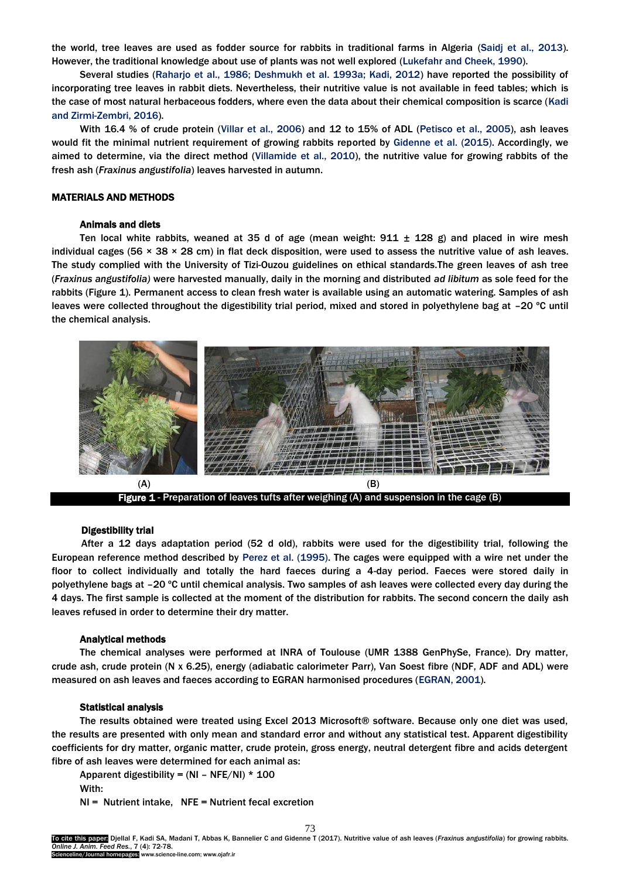the world, tree leaves are used as fodder source for rabbits in traditional farms in Algeria [\(Saidj et al., 2013\).](#page-6-0)  However, the traditional knowledge about use of plants was not well explored [\(Lukefahr and Cheek, 1990\).](#page-6-0)

Several studies (Raharjo et [al., 1986; Deshmukh et al. 1993a; Kadi, 2012\)](#page-6-0) have reported the possibility of incorporating tree leaves in rabbit diets. Nevertheless, their nutritive value is not available in feed tables; which is the case of most natural herbaceous fodders, where even the data about their chemical composition is scarce [\(Kadi](#page-6-0)  [and Zirmi-Zembri, 2016\).](#page-6-0)

With 16.4 % of crude protein [\(Villar et al., 2006\)](#page-6-0) and 12 to 15% of ADL [\(Petisco et al., 2005\),](#page-6-0) ash leaves would fit the minimal nutrient requirement of growing rabbits reported by [Gidenne et al. \(2015\)](#page-6-0). Accordingly, we aimed to determine, via the direct method [\(Villamide et al., 2010\),](#page-6-0) the nutritive value for growing rabbits of the fresh ash (*Fraxinus angustifolia*) leaves harvested in autumn.

## MATERIALS AND METHODS

# Animals and diets

Ten local white rabbits, weaned at 35 d of age (mean weight:  $911 \pm 128$  g) and placed in wire mesh individual cages (56  $\times$  38  $\times$  28 cm) in flat deck disposition, were used to assess the nutritive value of ash leaves. The study complied with the University of Tizi-Ouzou guidelines on ethical standards.The green leaves of ash tree (*Fraxinus angustifolia)* were harvested manually, daily in the morning and distributed *ad libitum* as sole feed for the rabbits (Figure 1). Permanent access to clean fresh water is available using an automatic watering. Samples of ash leaves were collected throughout the digestibility trial period, mixed and stored in polyethylene bag at –20 ºC until the chemical analysis.



#### Digestibility trial

After a 12 days adaptation period (52 d old), rabbits were used for the digestibility trial, following the European reference method described by [Perez et al. \(1995\).](#page-6-0) The cages were equipped with a wire net under the floor to collect individually and totally the hard faeces during a 4-day period. Faeces were stored daily in polyethylene bags at –20 ºC until chemical analysis. Two samples of ash leaves were collected every day during the 4 days. The first sample is collected at the moment of the distribution for rabbits. The second concern the daily ash leaves refused in order to determine their dry matter.

#### Analytical methods

The chemical analyses were performed at INRA of Toulouse (UMR 1388 GenPhySe, France). Dry matter, crude ash, crude protein (N x 6.25), energy (adiabatic calorimeter Parr), Van Soest fibre (NDF, ADF and ADL) were measured on ash leaves and faeces according to EGRAN harmonised procedures [\(EGRAN, 2001\).](#page-6-0)

#### Statistical analysis

The results obtained were treated using Excel 2013 Microsoft® software. Because only one diet was used, the results are presented with only mean and standard error and without any statistical test. Apparent digestibility coefficients for dry matter, organic matter, crude protein, gross energy, neutral detergent fibre and acids detergent fibre of ash leaves were determined for each animal as:

Apparent digestibility =  $(NI - NFE/NI) * 100$ 

With:

NI = Nutrient intake, NFE = Nutrient fecal excretion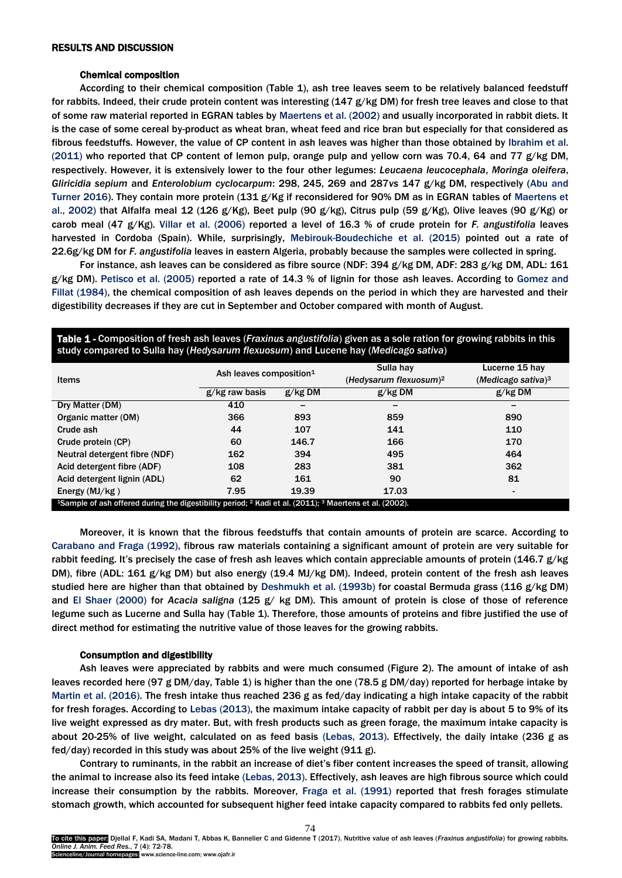#### RESULTS AND DISCUSSION

#### Chemical composition

According to their chemical composition (Table 1), ash tree leaves seem to be relatively balanced feedstuff for rabbits. Indeed, their crude protein content was interesting  $(147 g/kg DM)$  for fresh tree leaves and close to that of some raw material reported in EGRAN tables by [Maertens et al.](#page-6-0) (2002) and usually incorporated in rabbit diets. It is the case of some cereal by-product as wheat bran, wheat feed and rice bran but especially for that considered as fibrous feedstuffs. However, the value of CP content in ash leaves was higher than those obtained by [Ibrahim et al.](#page-6-0)  [\(2011\)](#page-6-0) who reported that CP content of lemon pulp, orange pulp and yellow corn was 70.4, 64 and 77  $g/kg$  DM, respectively. However, it is extensively lower to the four other legumes: *Leucaena leucocephala*, *Moringa oleifera*, *Gliricidia sepium* and *Enterolobium cyclocarpum*: 298, 245, 269 and 287*vs* 147 g/kg DM, respectively [\(Abu and](#page-6-0)  [Turner 2016\)](#page-6-0). They contain more protein (131 g/Kg if reconsidered for 90% DM as in EGRAN tables of [Maertens et](#page-6-0) [al., 2002](#page-6-0)) that Alfalfa meal 12 (126 g/Kg), Beet pulp (90 g/kg), Citrus pulp (59 g/Kg), Olive leaves (90 g/Kg) or carob meal (47 g/Kg). [Villar et al.](#page-6-0) (2006) reported a level of 16.3 % of crude protein for *F. angustifolia* leaves harvested in Cordoba (Spain). While, surprisingly, [Mebirouk-Boudechiche et al. \(2015\)](#page-6-0) pointed out a rate of 22.6g/kg DM for *F. angustifolia* leaves in eastern Algeria, probably because the samples were collected in spring.

For instance, ash leaves can be considered as fibre source (NDF: 394 g/kg DM, ADF: 283 g/kg DM, ADL: 161 g/kg DM). [Petisco et al. \(2005\)](#page-6-0) reported a rate of 14.3 % of lignin for those ash leaves. According to [Gomez and](#page-6-0)  [Fillat \(1984\),](#page-6-0) the chemical composition of ash leaves depends on the period in which they are harvested and their digestibility decreases if they are cut in September and October compared with month of August.

| study compared to Julia hay (ricuysarum nexuosum) and Eucene hay (medicago sativa).                                                       |                                     |           |                                    |                       |  |  |  |  |
|-------------------------------------------------------------------------------------------------------------------------------------------|-------------------------------------|-----------|------------------------------------|-----------------------|--|--|--|--|
| Items                                                                                                                                     | Ash leaves composition <sup>1</sup> |           | Sulla hay                          | Lucerne 15 hay        |  |  |  |  |
|                                                                                                                                           |                                     |           | (Hedysarum flexuosum) <sup>2</sup> | (Medicago sativa) $3$ |  |  |  |  |
|                                                                                                                                           | g/kg raw basis                      | $g/kg$ DM | g/kg DM                            | $g/kg$ DM             |  |  |  |  |
| Dry Matter (DM)                                                                                                                           | 410                                 |           |                                    |                       |  |  |  |  |
| Organic matter (OM)                                                                                                                       | 366                                 | 893       | 859                                | 890                   |  |  |  |  |
| Crude ash                                                                                                                                 | 44                                  | 107       | 141                                | 110                   |  |  |  |  |
| Crude protein (CP)                                                                                                                        | 60                                  | 146.7     | 166                                | 170                   |  |  |  |  |
| Neutral detergent fibre (NDF)                                                                                                             | 162                                 | 394       | 495                                | 464                   |  |  |  |  |
| Acid detergent fibre (ADF)                                                                                                                | 108                                 | 283       | 381                                | 362                   |  |  |  |  |
| Acid detergent lignin (ADL)                                                                                                               | 62                                  | 161       | 90                                 | 81                    |  |  |  |  |
| Energy $(MJ/kg)$                                                                                                                          | 7.95                                | 19.39     | 17.03                              | $\qquad \qquad$       |  |  |  |  |
| <sup>1</sup> Sample of ash offered during the digestibility period; <sup>2</sup> Kadi et al. (2011); <sup>3</sup> Maertens et al. (2002). |                                     |           |                                    |                       |  |  |  |  |

Table 1 - Composition of fresh ash leaves (*Fraxinus angustifolia*) given as a sole ration for growing rabbits in this study compared to Sulla hay (*Hedysarum flexuosum*) and Lucene hay (*Medicago sativa*)

Moreover, it is known that the fibrous feedstuffs that contain amounts of protein are scarce. According to [Carabano and Fraga \(1992\)](#page-6-0), fibrous raw materials containing a significant amount of protein are very suitable for rabbit feeding. It's precisely the case of fresh ash leaves which contain appreciable amounts of protein (146.7 g/kg) DM), fibre (ADL: 161 g/kg DM) but also energy (19.4 MJ/kg DM). Indeed, protein content of the fresh ash leaves studied here are higher than that obtained by [Deshmukh et al. \(1993b\)](#page-6-0) for coastal Bermuda grass (116 g/kg DM) and [El Shaer \(2000\)](#page-6-0) for *Acacia saligna* (125 g/ kg DM). This amount of protein is close of those of reference legume such as Lucerne and Sulla hay (Table 1). Therefore, those amounts of proteins and fibre justified the use of direct method for estimating the nutritive value of those leaves for the growing rabbits.

#### Consumption and digestibility

Ash leaves were appreciated by rabbits and were much consumed (Figure 2). The amount of intake of ash leaves recorded here (97 g DM/day, Table 1) is higher than the one (78.5 g DM/day) reported for herbage intake by [Martin et al. \(2016\).](#page-6-0) The fresh intake thus reached 236 g as fed/day indicating a high intake capacity of the rabbit for fresh forages. According to [Lebas \(2013\),](#page-6-0) the maximum intake capacity of rabbit per day is about 5 to 9% of its live weight expressed as dry mater. But, with fresh products such as green forage, the maximum intake capacity is about 20-25% of live weight, calculated on as feed basis [\(Lebas, 2013\)](#page-6-0). Effectively, the daily intake (236 g as fed/day) recorded in this study was about 25% of the live weight (911 g).

Contrary to ruminants, in the rabbit an increase of diet's fiber content increases the speed of transit, allowing the animal to increase also its feed intake [\(Lebas, 2013\)](#page-6-0). Effectively, ash leaves are high fibrous source which could increase their consumption by the rabbits. Moreover, [Fraga et al.](#page-6-0) (1991) reported that fresh forages stimulate stomach growth, which accounted for subsequent higher feed intake capacity compared to rabbits fed only pellets.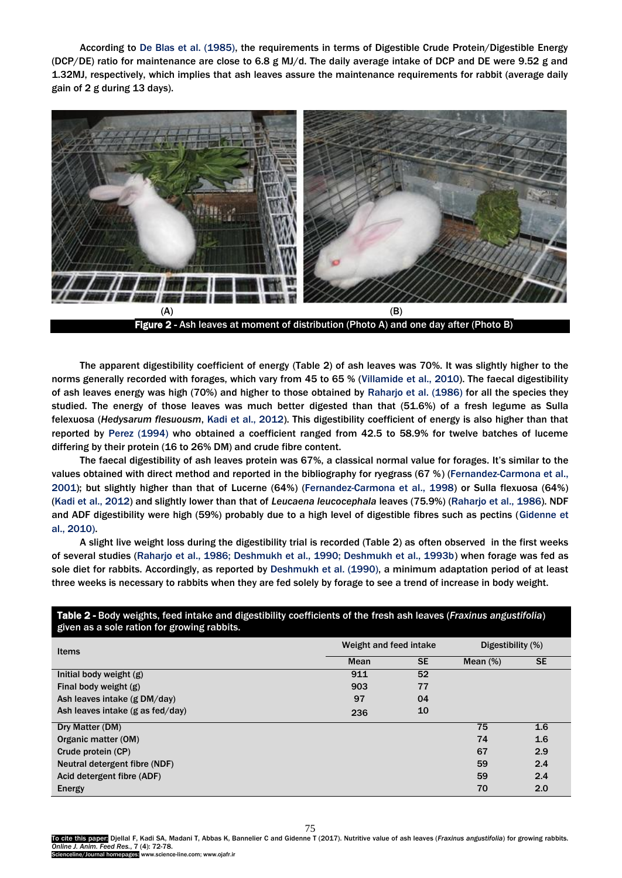According to [De Blas et al. \(1985\),](#page-6-0) the requirements in terms of Digestible Crude Protein/Digestible Energy (DCP/DE) ratio for maintenance are close to 6.8 g MJ/d. The daily average intake of DCP and DE were 9.52 g and 1.32MJ, respectively, which implies that ash leaves assure the maintenance requirements for rabbit (average daily gain of 2 g during 13 days).



The apparent digestibility coefficient of energy (Table 2) of ash leaves was 70%. It was slightly higher to the norms generally recorded with forages, which vary from 45 to 65 % [\(Villamide et al.,](#page-6-0) [2010\).](#page-6-0) The faecal digestibility of ash leaves energy was high (70%) and higher to those obtained by [Raharjo et al. \(1986\)](#page-6-0) for all the species they studied. The energy of those leaves was much better digested than that (51.6%) of a fresh legume as Sulla felexuosa (*Hedysarum flesuousm*, [Kadi et al., 2012\).](#page-6-0) This digestibility coefficient of energy is also higher than that reported by [Perez \(1994\)](#page-6-0) who obtained a coefficient ranged from 42.5 to 58.9% for twelve batches of luceme differing by their protein (16 to 26% DM) and crude fibre content.

The faecal digestibility of ash leaves protein was 67%, a classical normal value for forages. It's similar to the values obtained with direct method and reported in the bibliography for ryegrass (67 %) [\(Fernandez-Carmona et al.](#page-6-0), [2001\);](#page-6-0) but slightly higher than that of Lucerne (64%) [\(Fernandez-Carmona et al.](#page-6-0), 1998) or Sulla flexuosa (64%) [\(Kadi et al., 2012\)](#page-6-0) and slightly lower than that of *Leucaena leucocephala* leaves (75.9%) [\(Raharjo et al.,](#page-6-0) 1986). NDF and ADF digestibility were high (59%) probably due to a high level of digestible fibres such as pectins [\(Gidenne et](#page-6-0)  [al., 2010\).](#page-6-0)

A slight live weight loss during the digestibility trial is recorded (Table 2) as often observed in the first weeks of several studies [\(Raharjo et al., 1986; Deshmukh et al., 1990; Deshmukh et al., 1993b\)](#page-6-0) when forage was fed as sole diet for rabbits. Accordingly, as reported by [Deshmukh et al. \(1990\),](#page-6-0) a minimum adaptation period of at least three weeks is necessary to rabbits when they are fed solely by forage to see a trend of increase in body weight.

| given as a sole ration for growing rabbits. |                        |           |                   |           |  |
|---------------------------------------------|------------------------|-----------|-------------------|-----------|--|
| <b>Items</b>                                | Weight and feed intake |           | Digestibility (%) |           |  |
|                                             | Mean                   | <b>SE</b> | Mean $(\%)$       | <b>SE</b> |  |
| Initial body weight (g)                     | 911                    | 52        |                   |           |  |
| Final body weight (g)                       | 903                    | 77        |                   |           |  |
| Ash leaves intake (g DM/day)                | 97                     | 04        |                   |           |  |
| Ash leaves intake (g as fed/day)            | 236                    | 10        |                   |           |  |
| Dry Matter (DM)                             |                        |           | 75                | 1.6       |  |
| Organic matter (OM)                         |                        |           | 74                | 1.6       |  |
| Crude protein (CP)                          |                        |           | 67                | 2.9       |  |
| Neutral detergent fibre (NDF)               |                        |           | 59                | 2.4       |  |
| Acid detergent fibre (ADF)                  |                        |           | 59                | 2.4       |  |
| Energy                                      |                        |           | 70                | 2.0       |  |

# Table 2 - Body weights, feed intake and digestibility coefficients of the fresh ash leaves (*Fraxinus angustifolia*)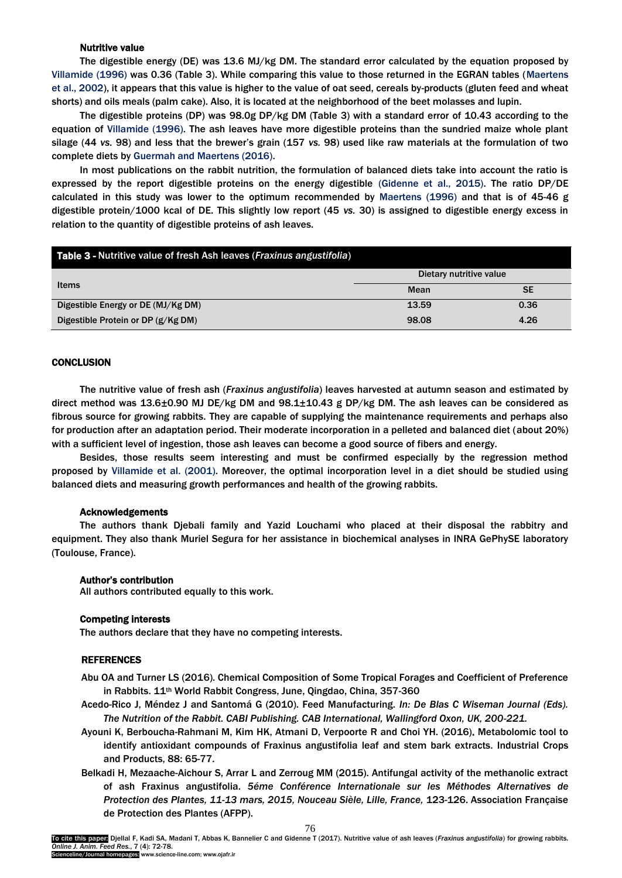# Nutritive value

The digestible energy (DE) was 13.6 MJ/kg DM. The standard error calculated by the equation proposed by [Villamide \(1996\) was 0.36 \(Table 3\). While comparing this value to those returned in the EGRAN tables \(Maertens](#page-6-0)  et [al., 2002](#page-6-0)), it appears that this value is higher to the value of oat seed, cereals by-products (gluten feed and wheat shorts) and oils meals (palm cake). Also, it is located at the neighborhood of the beet molasses and lupin.

The digestible proteins (DP) was 98.0g DP/kg DM (Table 3) with a standard error of 10.43 according to the equation of [Villamide \(1996\)](#page-6-0). The ash leaves have more digestible proteins than the sundried maize whole plant silage (44 *vs.* 98) and less that the brewer's grain (157 *vs.* 98) used like raw materials at the formulation of two complete diets by [Guermah and Maertens \(2016\)](#page-6-0).

In most publications on the rabbit nutrition, the formulation of balanced diets take into account the ratio is expressed by the report digestible proteins on the energy digestible [\(Gidenne et al., 2015\).](#page-6-0) The ratio DP/DE calculated in this study was lower to the optimum recommended by [Maertens \(1996\)](#page-6-0) and that is of 45-46 g digestible protein/1000 kcal of DE. This slightly low report (45 *vs.* 30) is assigned to digestible energy excess in relation to the quantity of digestible proteins of ash leaves.

| <b>Table 3 - Nutritive value of fresh Ash leaves (Fraxinus angustifolia)</b> |                         |           |  |  |  |
|------------------------------------------------------------------------------|-------------------------|-----------|--|--|--|
|                                                                              | Dietary nutritive value |           |  |  |  |
| Items                                                                        | Mean                    | <b>SE</b> |  |  |  |
| Digestible Energy or DE (MJ/Kg DM)                                           | 13.59                   | 0.36      |  |  |  |
| Digestible Protein or DP (g/Kg DM)                                           | 98.08                   | 4.26      |  |  |  |

# **CONCLUSION**

The nutritive value of fresh ash (*Fraxinus angustifolia*) leaves harvested at autumn season and estimated by direct method was 13.6±0.90 MJ DE/kg DM and 98.1±10.43 g DP/kg DM. The ash leaves can be considered as fibrous source for growing rabbits. They are capable of supplying the maintenance requirements and perhaps also for production after an adaptation period. Their moderate incorporation in a pelleted and balanced diet (about 20%) with a sufficient level of ingestion, those ash leaves can become a good source of fibers and energy.

Besides, those results seem interesting and must be confirmed especially by the regression method proposed by [Villamide et al. \(2001\)](#page-6-0). Moreover, the optimal incorporation level in a diet should be studied using balanced diets and measuring growth performances and health of the growing rabbits.

#### Acknowledgements

The authors thank Djebali family and Yazid Louchami who placed at their disposal the rabbitry and equipment. They also thank Muriel Segura for her assistance in biochemical analyses in INRA GePhySE laboratory (Toulouse, France).

## Author's contribution

All authors contributed equally to this work.

#### Competing interests

The authors declare that they have no competing interests.

# **REFERENCES**

- Abu OA and Turner LS (2016). Chemical Composition of Some Tropical Forages and Coefficient of Preference in Rabbits. 11<sup>th</sup> World Rabbit Congress, June, Qingdao, China, 357-360
- Acedo-Rico J, Méndez J and Santomá G (2010). Feed Manufacturing. *In: De Blas C Wiseman Journal (Eds). The Nutrition of the Rabbit. CABI Publishing. CAB International, Wallingford Oxon, UK, 200-221.*
- Ayouni K, Berboucha-Rahmani M, Kim HK, Atmani D, Verpoorte R and Choi YH. (2016). Metabolomic tool to identify antioxidant compounds of Fraxinus angustifolia leaf and stem bark extracts. Industrial Crops and Products, 88: 65-77.
- Bel[kadi](#page-6-0) H, Mezaache-Aichour S, Arrar L and Zerroug MM (2015). Antifungal activity of the methanolic extract of ash Fraxinus angustifolia. *5éme Conférence Internationale sur les Méthodes Alternatives de Protection des Plantes, 11-13 mars, 2015, Nouceau Sièle, Lille, France,* 123-126. Association Française de Protection des Plantes (AFPP).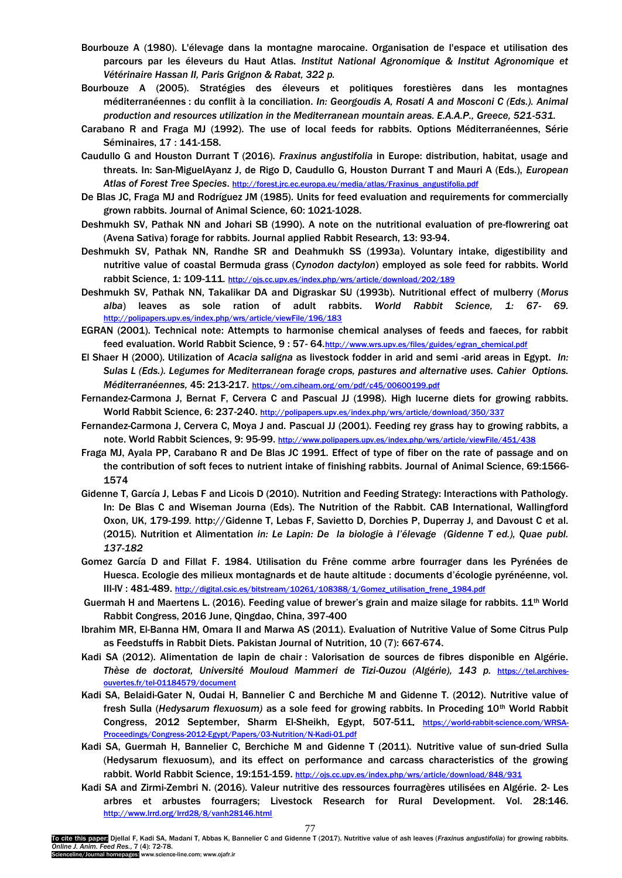- Bourbouze A (1980). L'élevage dans la montagne marocaine. Organisation de l'espace et utilisation des parcours par les éleveurs du Haut Atlas. *Institut National Agronomique & Institut Agronomique et Vétérinaire Hassan II, Paris Grignon & Rabat, 322 p.*
- Bourbouze A (2005). Stratégies des éleveurs et politiques forestières dans les montagnes méditerranéennes : du conflit à la conciliation. *In: Georgoudis A, Rosati A and Mosconi C (Eds.). Animal production and resources utilization in the Mediterranean mountain areas. E.A.A.P., Greece, 521-531.*
- Carabano R and Fraga MJ (1992). The use of local feeds for rabbits. Options Méditerranéennes, Série Séminaires, 17 : 141-158.
- Caudullo G and Houston Durrant T (2016). *Fraxinus angustifolia* in Europe: distribution, habitat, usage and threats. In: San-MiguelAyanz J, de Rigo D, Caudullo G, Houston Durrant T and Mauri A (Eds.), *European Atlas of Forest Tree Species*. [http://forest.jrc.ec.europa.eu/media/atlas/Fraxinus\\_angustifolia.pdf](http://forest.jrc.ec.europa.eu/media/atlas/Fraxinus_angustifolia.pdf)
- De Blas JC, Fraga MJ and Rodríguez JM (1985). Units for feed evaluation and requirements for commercially grown rabbits. Journal of Animal Science, 60: 1021-1028.
- Deshmukh SV, Pathak NN and Johari SB (1990). A note on the nutritional evaluation of pre-flowrering oat (Avena Sativa) forage for rabbits. Journal applied Rabbit Research, 13: 93-94.
- Deshmukh SV, Pathak NN, Randhe SR and Deahmukh SS (1993a). Voluntary intake, digestibility and nutritive value of coastal Bermuda grass (*Cynodon dactylon*) employed as sole feed for rabbits. World rabbit Science, 1: 109-111*.* <http://ojs.cc.upv.es/index.php/wrs/article/download/202/189>
- Deshmukh SV, Pathak NN, Takalikar DA and Digraskar SU (1993b). Nutritional effect of mulberry (*Morus alba*) leaves as sole ration of adult rabbits. *World Rabbit Science, 1: 67- 69.*  <http://polipapers.upv.es/index.php/wrs/article/viewFile/196/183>
- EGRAN [\(2001\).](#page-6-0) Technical note: Attempts to harmonise chemical analyses of feeds and faeces, for rabbit feed evaluation. World Rabbit Science, 9:57-64.[http://www.wrs.upv.es/files/guides/egran\\_chemical.pdf](http://www.wrs.upv.es/files/guides/egran_chemical.pdf)
- El Shaer H (2000). Utilization of *Acacia saligna* as livestock fodder in arid and semi -arid areas in Egypt. *In: Sulas L (Eds.). Legumes for Mediterranean forage crops, pastures and alternative uses. Cahier Options. Méditerranéennes,* 45: 213-217*.* <https://om.ciheam.org/om/pdf/c45/00600199.pdf>
- Fernandez-Carmona J, Bernat F, Cervera C and Pascual JJ (1998). High lucerne diets for growing rabbits. World Rabbit Science, 6: 237-240. <http://polipapers.upv.es/index.php/wrs/article/download/350/337>
- Fernandez-Carmona J, Cervera C, Moya J and. Pascual JJ [\(2001\).](#page-6-0) Feeding rey grass hay to growing rabbits, a note. World Rabbit Sciences, 9: 95-99. <http://www.polipapers.upv.es/index.php/wrs/article/viewFile/451/438>
- Fraga MJ, Ayala PP, Carabano R and De Blas JC 1991. Effect of type of fiber on the rate of passage and on the contribution of soft feces to nutrient intake of finishing rabbits. Journal of Animal Science, 69:1566- 1574
- Gidenne T, García J, Lebas F and Licois D (2010). Nutrition and Feeding Strategy: Interactions with Pathology. In: De Blas C and Wiseman Journa (Eds). The Nutrition of the Rabbit. CAB International, Wallingford Oxon, UK, 179-*199.* http://Gidenne T, Lebas F, Savietto D, Dorchies P, Duperray J, and Davoust C et al. (2015). Nutrition et Alimentation *in: Le Lapin: De la biologie à l'élevage (Gidenne T ed.), Quae publ. 137-182*
- Gomez García D and Fillat F. 1984. Utilisation du Frêne comme arbre fourrager dans les Pyrénées de Huesca. Ecologie des milieux montagnards et de haute altitude : documents d'écologie pyrénéenne, vol. III-IV : 481-489. [http://digital.csic.es/bitstream/10261/108388/1/Gomez\\_utilisation\\_frene\\_1984.pdf](http://digital.csic.es/bitstream/10261/108388/1/Gomez_utilisation_frene_1984.pdf)
- Guermah H and Maertens L. (2016). Feeding value of brewer's grain and maize silage for rabbits. 11th World Rabbit Congress, 2016 June, Qingdao, China, 397-400
- Ibrahim MR, El-Banna HM, Omara II and Marwa AS [\(2011\).](#page-6-0) Evaluation of Nutritive Value of Some Citrus Pulp as Feedstuffs in Rabbit Diets. Pakistan Journal of Nutrition, 10 (7): 667-674.
- [Kadi](#page-6-0) SA (2012). Alimentation de lapin de chair : Valorisation de sources de fibres disponible en Algérie. Thèse de doctorat, Université Mouloud Mammeri de Tizi-Ouzou (Algérie), 143 p. [https://tel.archives](https://tel.archives-ouvertes.fr/tel-01184579/document)[ouvertes.fr/tel-01184579/document](https://tel.archives-ouvertes.fr/tel-01184579/document)
- [Kadi](#page-6-0) SA, Belaidi-Gater N, Oudai H, Bannelier C and Berchiche M and Gidenne T. (2012). Nutritive value of fresh Sulla (*Hedysarum flexuosum)* as a sole feed for growing rabbits. In Proceding 10th World Rabbit Congress, 2012 September, Sharm El-Sheikh, Egypt, 507-511. [https://world-rabbit-science.com/WRSA-](https://world-rabbit-science.com/WRSA-Proceedings/Congress-2012-Egypt/Papers/03-Nutrition/N-Kadi-01.pdf)[Proceedings/Congress-2012-Egypt/Papers/03-Nutrition/N-](https://world-rabbit-science.com/WRSA-Proceedings/Congress-2012-Egypt/Papers/03-Nutrition/N-Kadi-01.pdf)[Kadi](#page-6-0)[-01.pdf](https://world-rabbit-science.com/WRSA-Proceedings/Congress-2012-Egypt/Papers/03-Nutrition/N-Kadi-01.pdf)
- [Kadi](#page-6-0) SA, Guermah H, Bannelier C, Berchiche M and Gidenne T ([2011\).](#page-6-0) Nutritive value of sun-dried Sulla (Hedysarum flexuosum), and its effect on performance and carcass characteristics of the growing rabbit. World Rabbit Science, 19:151-159. <http://ojs.cc.upv.es/index.php/wrs/article/download/848/931>
- [Kadi](#page-6-0) SA and Zirmi-Zembri N. (2016). Valeur nutritive des ressources fourragères utilisées en Algérie. 2- Les arbres et arbustes fourragers; Livestock Research for Rural Development. Vol. 28:146. <http://www.lrrd.org/lrrd28/8/vanh28146.html>